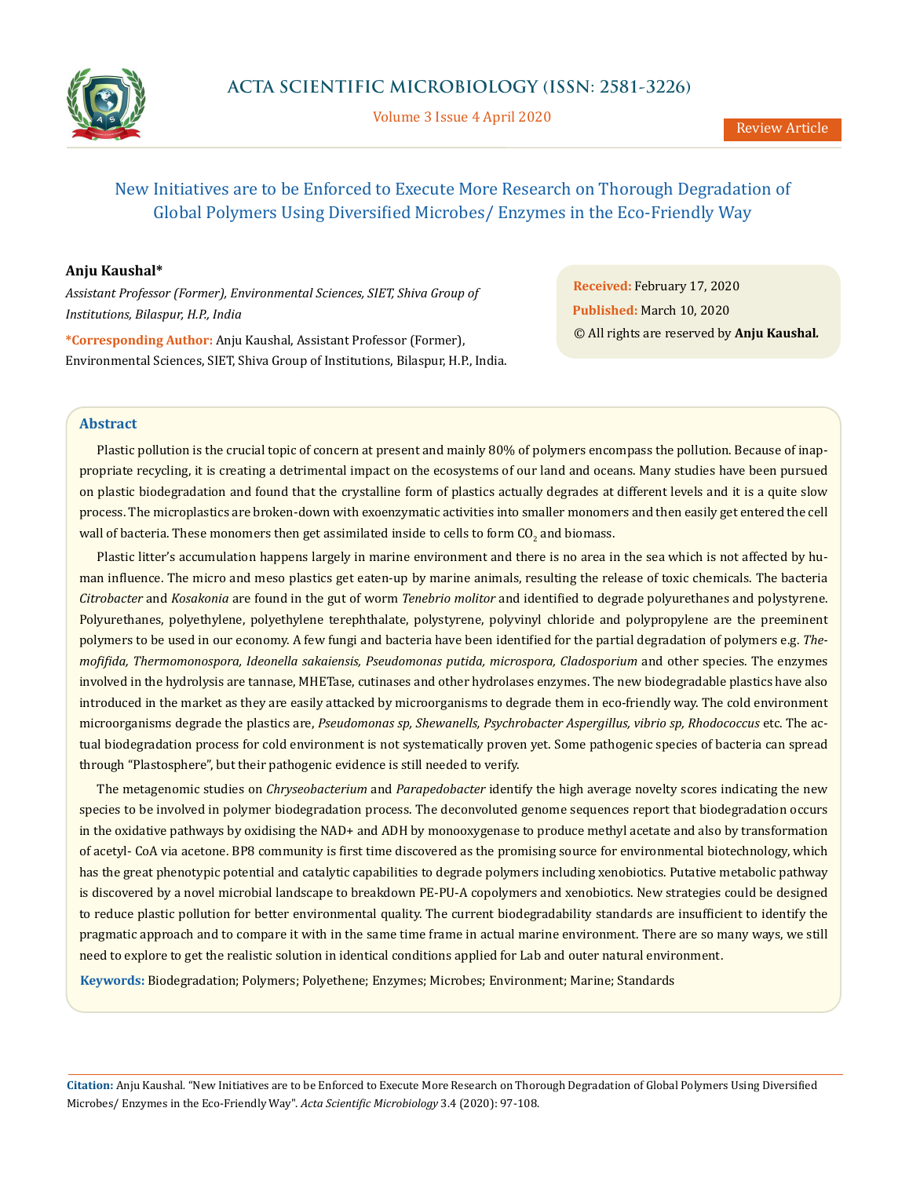

Volume 3 Issue 4 April 2020

# New Initiatives are to be Enforced to Execute More Research on Thorough Degradation of Global Polymers Using Diversified Microbes/ Enzymes in the Eco-Friendly Way

## **Anju Kaushal\***

*Assistant Professor (Former), Environmental Sciences, SIET, Shiva Group of Institutions, Bilaspur, H.P., India*

**\*Corresponding Author:** Anju Kaushal, Assistant Professor (Former), Environmental Sciences, SIET, Shiva Group of Institutions, Bilaspur, H.P., India.

**Received:** February 17, 2020 **Published:** March 10, 2020 © All rights are reserved by **Anju Kaushal***.*

#### **Abstract**

Plastic pollution is the crucial topic of concern at present and mainly 80% of polymers encompass the pollution. Because of inappropriate recycling, it is creating a detrimental impact on the ecosystems of our land and oceans. Many studies have been pursued on plastic biodegradation and found that the crystalline form of plastics actually degrades at different levels and it is a quite slow process. The microplastics are broken-down with exoenzymatic activities into smaller monomers and then easily get entered the cell wall of bacteria. These monomers then get assimilated inside to cells to form  $\mathrm{CO}_2$  and biomass.

Plastic litter's accumulation happens largely in marine environment and there is no area in the sea which is not affected by human influence. The micro and meso plastics get eaten-up by marine animals, resulting the release of toxic chemicals. The bacteria *Citrobacter* and *Kosakonia* are found in the gut of worm *Tenebrio molitor* and identified to degrade polyurethanes and polystyrene. Polyurethanes, polyethylene, polyethylene terephthalate, polystyrene, polyvinyl chloride and polypropylene are the preeminent polymers to be used in our economy. A few fungi and bacteria have been identified for the partial degradation of polymers e.g. *Themofifida, Thermomonospora, Ideonella sakaiensis, Pseudomonas putida, microspora, Cladosporium* and other species. The enzymes involved in the hydrolysis are tannase, MHETase, cutinases and other hydrolases enzymes. The new biodegradable plastics have also introduced in the market as they are easily attacked by microorganisms to degrade them in eco-friendly way. The cold environment microorganisms degrade the plastics are, *Pseudomonas sp, Shewanells, Psychrobacter Aspergillus, vibrio sp, Rhodococcus* etc. The actual biodegradation process for cold environment is not systematically proven yet. Some pathogenic species of bacteria can spread through "Plastosphere", but their pathogenic evidence is still needed to verify.

The metagenomic studies on *Chryseobacterium* and *Parapedobacter* identify the high average novelty scores indicating the new species to be involved in polymer biodegradation process. The deconvoluted genome sequences report that biodegradation occurs in the oxidative pathways by oxidising the NAD+ and ADH by monooxygenase to produce methyl acetate and also by transformation of acetyl- CoA via acetone. BP8 community is first time discovered as the promising source for environmental biotechnology, which has the great phenotypic potential and catalytic capabilities to degrade polymers including xenobiotics. Putative metabolic pathway is discovered by a novel microbial landscape to breakdown PE-PU-A copolymers and xenobiotics. New strategies could be designed to reduce plastic pollution for better environmental quality. The current biodegradability standards are insufficient to identify the pragmatic approach and to compare it with in the same time frame in actual marine environment. There are so many ways, we still need to explore to get the realistic solution in identical conditions applied for Lab and outer natural environment.

**Keywords:** Biodegradation; Polymers; Polyethene; Enzymes; Microbes; Environment; Marine; Standards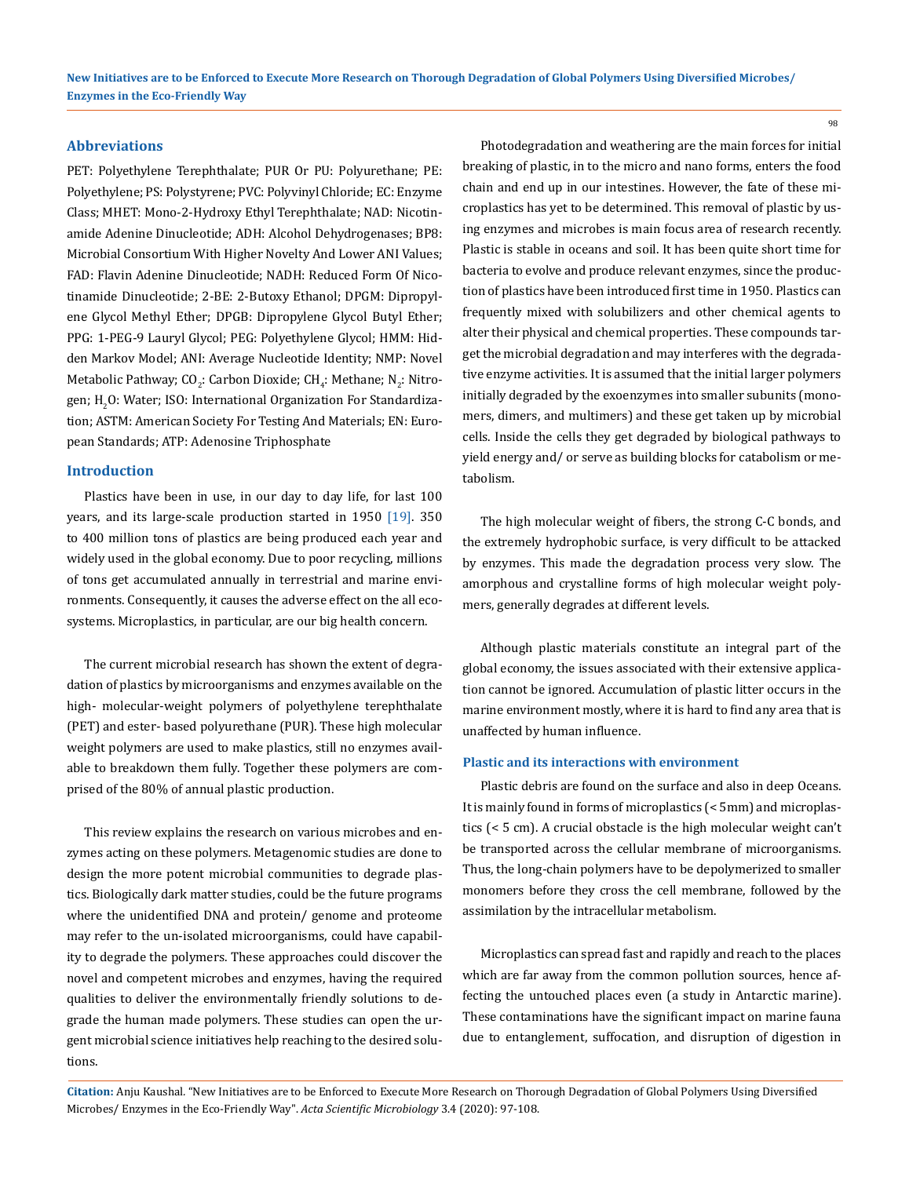### **Abbreviations**

PET: Polyethylene Terephthalate; PUR Or PU: Polyurethane; PE: Polyethylene; PS: Polystyrene; PVC: Polyvinyl Chloride; EC: Enzyme Class; MHET: Mono-2-Hydroxy Ethyl Terephthalate; NAD: Nicotinamide Adenine Dinucleotide; ADH: Alcohol Dehydrogenases; BP8: Microbial Consortium With Higher Novelty And Lower ANI Values; FAD: Flavin Adenine Dinucleotide; NADH: Reduced Form Of Nicotinamide Dinucleotide; 2-BE: 2-Butoxy Ethanol; DPGM: Dipropylene Glycol Methyl Ether; DPGB: Dipropylene Glycol Butyl Ether; PPG: 1-PEG-9 Lauryl Glycol; PEG: Polyethylene Glycol; HMM: Hidden Markov Model; ANI: Average Nucleotide Identity; NMP: Novel Metabolic Pathway; CO<sub>2</sub>: Carbon Dioxide; CH<sub>4</sub>: Methane; N<sub>2</sub>: Nitrogen; H $_{\rm 2}$ O: Water; ISO: International Organization For Standardization; ASTM: American Society For Testing And Materials; EN: European Standards; ATP: Adenosine Triphosphate

#### **Introduction**

Plastics have been in use, in our day to day life, for last 100 years, and its large-scale production started in 1950 [19]. 350 to 400 million tons of plastics are being produced each year and widely used in the global economy. Due to poor recycling, millions of tons get accumulated annually in terrestrial and marine environments. Consequently, it causes the adverse effect on the all ecosystems. Microplastics, in particular, are our big health concern.

The current microbial research has shown the extent of degradation of plastics by microorganisms and enzymes available on the high- molecular-weight polymers of polyethylene terephthalate (PET) and ester- based polyurethane (PUR). These high molecular weight polymers are used to make plastics, still no enzymes available to breakdown them fully. Together these polymers are comprised of the 80% of annual plastic production.

This review explains the research on various microbes and enzymes acting on these polymers. Metagenomic studies are done to design the more potent microbial communities to degrade plastics. Biologically dark matter studies, could be the future programs where the unidentified DNA and protein/ genome and proteome may refer to the un-isolated microorganisms, could have capability to degrade the polymers. These approaches could discover the novel and competent microbes and enzymes, having the required qualities to deliver the environmentally friendly solutions to degrade the human made polymers. These studies can open the urgent microbial science initiatives help reaching to the desired solutions.

Photodegradation and weathering are the main forces for initial breaking of plastic, in to the micro and nano forms, enters the food chain and end up in our intestines. However, the fate of these microplastics has yet to be determined. This removal of plastic by using enzymes and microbes is main focus area of research recently. Plastic is stable in oceans and soil. It has been quite short time for bacteria to evolve and produce relevant enzymes, since the production of plastics have been introduced first time in 1950. Plastics can frequently mixed with solubilizers and other chemical agents to alter their physical and chemical properties. These compounds target the microbial degradation and may interferes with the degradative enzyme activities. It is assumed that the initial larger polymers initially degraded by the exoenzymes into smaller subunits (monomers, dimers, and multimers) and these get taken up by microbial cells. Inside the cells they get degraded by biological pathways to yield energy and/ or serve as building blocks for catabolism or metabolism.

The high molecular weight of fibers, the strong C-C bonds, and the extremely hydrophobic surface, is very difficult to be attacked by enzymes. This made the degradation process very slow. The amorphous and crystalline forms of high molecular weight polymers, generally degrades at different levels.

Although plastic materials constitute an integral part of the global economy, the issues associated with their extensive application cannot be ignored. Accumulation of plastic litter occurs in the marine environment mostly, where it is hard to find any area that is unaffected by human influence.

#### **Plastic and its interactions with environment**

Plastic debris are found on the surface and also in deep Oceans. It is mainly found in forms of microplastics (< 5mm) and microplastics (< 5 cm). A crucial obstacle is the high molecular weight can't be transported across the cellular membrane of microorganisms. Thus, the long-chain polymers have to be depolymerized to smaller monomers before they cross the cell membrane, followed by the assimilation by the intracellular metabolism.

Microplastics can spread fast and rapidly and reach to the places which are far away from the common pollution sources, hence affecting the untouched places even (a study in Antarctic marine). These contaminations have the significant impact on marine fauna due to entanglement, suffocation, and disruption of digestion in

**Citation:** Anju Kaushal*.* "New Initiatives are to be Enforced to Execute More Research on Thorough Degradation of Global Polymers Using Diversified Microbes/ Enzymes in the Eco-Friendly Way". *Acta Scientific Microbiology* 3.4 (2020): 97-108.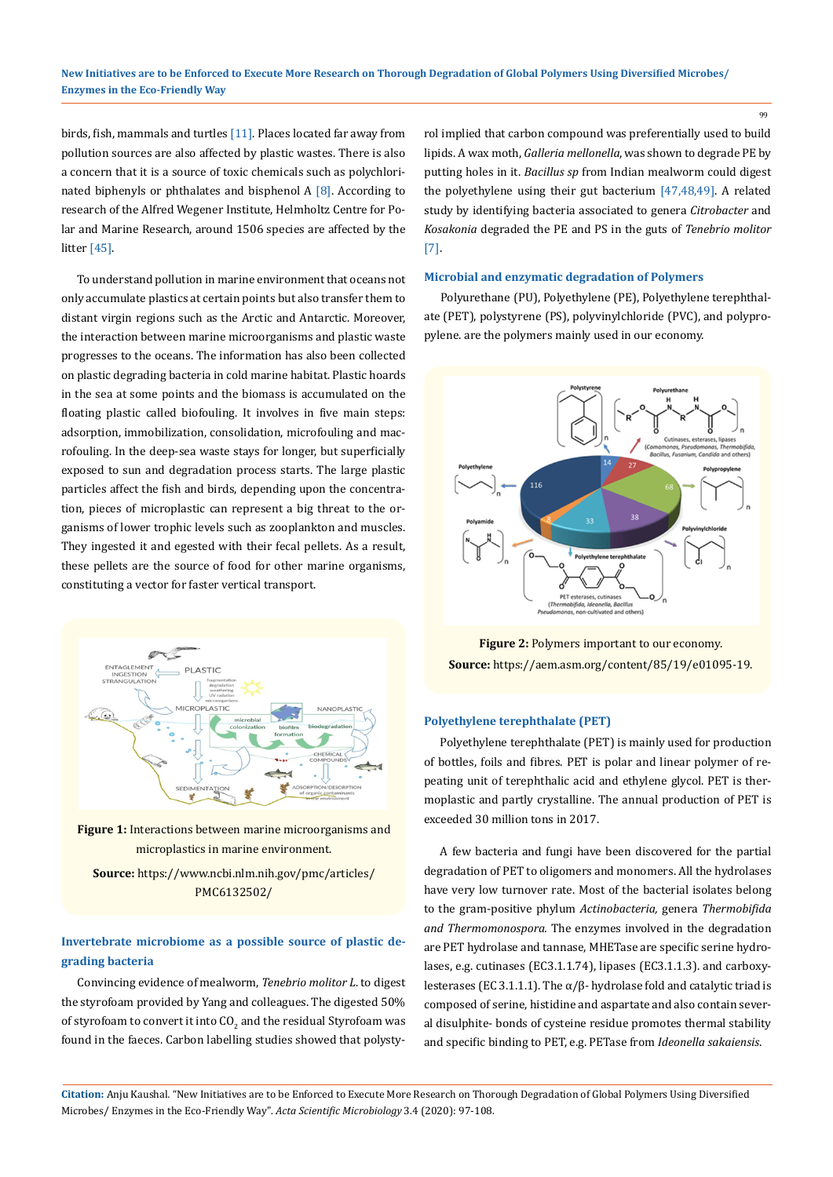birds, fish, mammals and turtles [11]. Places located far away from pollution sources are also affected by plastic wastes. There is also a concern that it is a source of toxic chemicals such as polychlorinated biphenyls or phthalates and bisphenol  $A [8]$ . According to research of the Alfred Wegener Institute, Helmholtz Centre for Polar and Marine Research, around 1506 species are affected by the litter [45].

To understand pollution in marine environment that oceans not only accumulate plastics at certain points but also transfer them to distant virgin regions such as the Arctic and Antarctic. Moreover, the interaction between marine microorganisms and plastic waste progresses to the oceans. The information has also been collected on plastic degrading bacteria in cold marine habitat. Plastic hoards in the sea at some points and the biomass is accumulated on the floating plastic called biofouling. It involves in five main steps: adsorption, immobilization, consolidation, microfouling and macrofouling. In the deep-sea waste stays for longer, but superficially exposed to sun and degradation process starts. The large plastic particles affect the fish and birds, depending upon the concentration, pieces of microplastic can represent a big threat to the organisms of lower trophic levels such as zooplankton and muscles. They ingested it and egested with their fecal pellets. As a result, these pellets are the source of food for other marine organisms, constituting a vector for faster vertical transport.



**Figure 1:** Interactions between marine microorganisms and microplastics in marine environment.

**Source:** https://www.ncbi.nlm.nih.gov/pmc/articles/ PMC6132502/

## **Invertebrate microbiome as a possible source of plastic degrading bacteria**

Convincing evidence of mealworm, *Tenebrio molitor L*. to digest the styrofoam provided by Yang and colleagues. The digested 50% of styrofoam to convert it into  $\mathop{\rm CO}_{2}$  and the residual Styrofoam was  $^+$ found in the faeces. Carbon labelling studies showed that polystyrol implied that carbon compound was preferentially used to build lipids. A wax moth, *Galleria mellonella*, was shown to degrade PE by putting holes in it. *Bacillus sp* from Indian mealworm could digest the polyethylene using their gut bacterium [47,48,49]. A related study by identifying bacteria associated to genera *Citrobacter* and *Kosakonia* degraded the PE and PS in the guts of *Tenebrio molitor* [7].

#### **Microbial and enzymatic degradation of Polymers**

Polyurethane (PU), Polyethylene (PE), Polyethylene terephthalate (PET), polystyrene (PS), polyvinylchloride (PVC), and polypropylene. are the polymers mainly used in our economy.



**Figure 2:** Polymers important to our economy. **Source:** https://aem.asm.org/content/85/19/e01095-19.

#### **Polyethylene terephthalate (PET)**

Polyethylene terephthalate (PET) is mainly used for production of bottles, foils and fibres. PET is polar and linear polymer of repeating unit of terephthalic acid and ethylene glycol. PET is thermoplastic and partly crystalline. The annual production of PET is exceeded 30 million tons in 2017.

A few bacteria and fungi have been discovered for the partial degradation of PET to oligomers and monomers. All the hydrolases have very low turnover rate. Most of the bacterial isolates belong to the gram-positive phylum *Actinobacteria,* genera *Thermobifida and Thermomonospora.* The enzymes involved in the degradation are PET hydrolase and tannase, MHETase are specific serine hydrolases, e.g. cutinases (EC3.1.1.74), lipases (EC3.1.1.3). and carboxylesterases (EC 3.1.1.1). The  $\alpha/\beta$ - hydrolase fold and catalytic triad is composed of serine, histidine and aspartate and also contain several disulphite- bonds of cysteine residue promotes thermal stability and specific binding to PET, e.g. PETase from *Ideonella sakaiensis*.

**Citation:** Anju Kaushal*.* "New Initiatives are to be Enforced to Execute More Research on Thorough Degradation of Global Polymers Using Diversified Microbes/ Enzymes in the Eco-Friendly Way". *Acta Scientific Microbiology* 3.4 (2020): 97-108.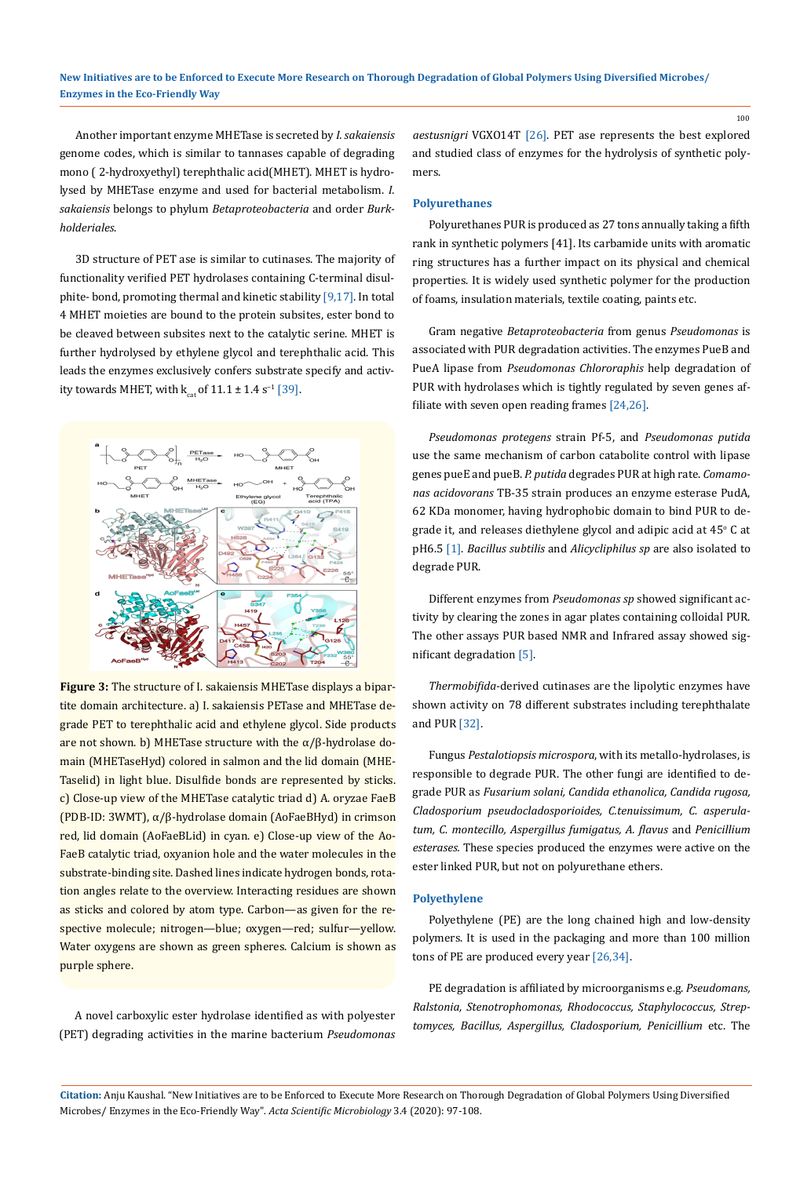Another important enzyme MHETase is secreted by *I. sakaiensis* genome codes, which is similar to tannases capable of degrading mono ( 2-hydroxyethyl) terephthalic acid(MHET). MHET is hydrolysed by MHETase enzyme and used for bacterial metabolism. *I. sakaiensis* belongs to phylum *Betaproteobacteria* and order *Burkholderiales*.

3D structure of PET ase is similar to cutinases. The majority of functionality verified PET hydrolases containing C-terminal disulphite- bond, promoting thermal and kinetic stability [9,17]. In total 4 MHET moieties are bound to the protein subsites, ester bond to be cleaved between subsites next to the catalytic serine. MHET is further hydrolysed by ethylene glycol and terephthalic acid. This leads the enzymes exclusively confers substrate specify and activity towards MHET, with  $k_{cat}$  of 11.1 ± 1.4 s<sup>-1</sup> [39].



**Figure 3:** The structure of I. sakaiensis MHETase displays a bipartite domain architecture. a) I. sakaiensis PETase and MHETase degrade PET to terephthalic acid and ethylene glycol. Side products are not shown. b) MHETase structure with the  $\alpha/\beta$ -hydrolase domain (MHETaseHyd) colored in salmon and the lid domain (MHE-Taselid) in light blue. Disulfide bonds are represented by sticks. c) Close-up view of the MHETase catalytic triad d) A. oryzae FaeB (PDB-ID: 3WMT), α/β-hydrolase domain (AoFaeBHyd) in crimson red, lid domain (AoFaeBLid) in cyan. e) Close-up view of the Ao-FaeB catalytic triad, oxyanion hole and the water molecules in the substrate-binding site. Dashed lines indicate hydrogen bonds, rotation angles relate to the overview. Interacting residues are shown as sticks and colored by atom type. Carbon—as given for the respective molecule; nitrogen—blue; oxygen—red; sulfur—yellow. Water oxygens are shown as green spheres. Calcium is shown as purple sphere.

A novel carboxylic ester hydrolase identified as with polyester (PET) degrading activities in the marine bacterium *Pseudomonas*  *aestusnigri* VGXO14T [26]. PET ase represents the best explored and studied class of enzymes for the hydrolysis of synthetic polymers.

100

#### **Polyurethanes**

Polyurethanes PUR is produced as 27 tons annually taking a fifth rank in synthetic polymers [41]. Its carbamide units with aromatic ring structures has a further impact on its physical and chemical properties. It is widely used synthetic polymer for the production of foams, insulation materials, textile coating, paints etc.

Gram negative *Betaproteobacteria* from genus *Pseudomonas* is associated with PUR degradation activities. The enzymes PueB and PueA lipase from *Pseudomonas Chlororaphis* help degradation of PUR with hydrolases which is tightly regulated by seven genes affiliate with seven open reading frames [24,26].

*Pseudomonas protegens* strain Pf-5, and *Pseudomonas putida* use the same mechanism of carbon catabolite control with lipase genes pueE and pueB. *P. putida* degrades PUR at high rate. *Comamonas acidovorans* TB-35 strain produces an enzyme esterase PudA, 62 KDa monomer, having hydrophobic domain to bind PUR to degrade it, and releases diethylene glycol and adipic acid at  $45^{\circ}$  C at pH6.5 [1]. *Bacillus subtilis* and *Alicycliphilus sp* are also isolated to degrade PUR.

Different enzymes from *Pseudomonas sp* showed significant activity by clearing the zones in agar plates containing colloidal PUR. The other assays PUR based NMR and Infrared assay showed significant degradation [5].

*Thermobifida*-derived cutinases are the lipolytic enzymes have shown activity on 78 different substrates including terephthalate and PUR [32].

Fungus *Pestalotiopsis microspora*, with its metallo-hydrolases, is responsible to degrade PUR. The other fungi are identified to degrade PUR as *Fusarium solani, Candida ethanolica, Candida rugosa, Cladosporium pseudocladosporioides, C.tenuissimum, C. asperulatum, C. montecillo, Aspergillus fumigatus, A. flavus* and *Penicillium esterases.* These species produced the enzymes were active on the ester linked PUR, but not on polyurethane ethers.

#### **Polyethylene**

Polyethylene (PE) are the long chained high and low-density polymers. It is used in the packaging and more than 100 million tons of PE are produced every year [26,34].

PE degradation is affiliated by microorganisms e.g. *Pseudomans, Ralstonia, Stenotrophomonas, Rhodococcus, Staphylococcus, Streptomyces, Bacillus, Aspergillus, Cladosporium, Penicillium* etc. The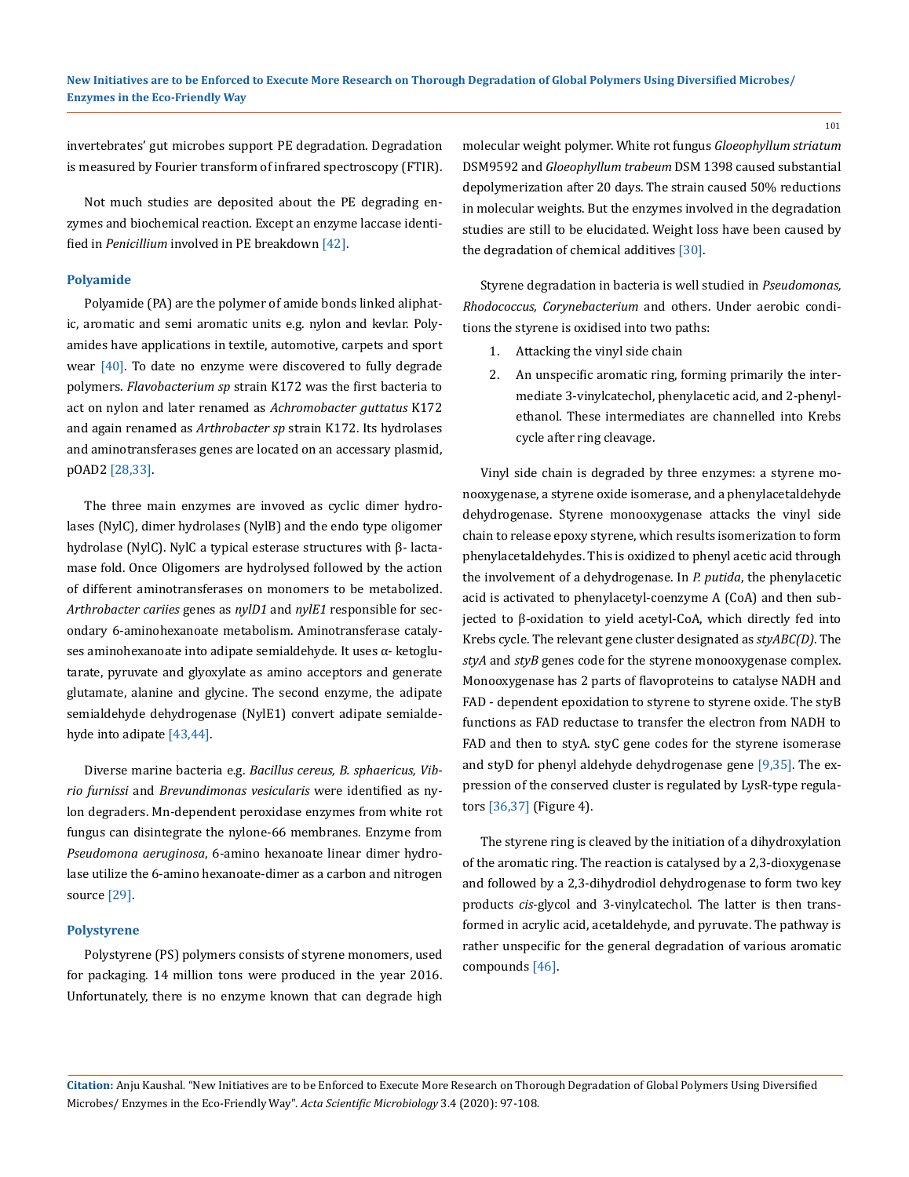invertebrates' gut microbes support PE degradation. Degradation is measured by Fourier transform of infrared spectroscopy (FTIR).

Not much studies are deposited about the PE degrading enzymes and biochemical reaction. Except an enzyme laccase identified in *Penicillium* involved in PE breakdown [42].

#### **Polyamide**

Polyamide (PA) are the polymer of amide bonds linked aliphatic, aromatic and semi aromatic units e.g. nylon and kevlar. Polyamides have applications in textile, automotive, carpets and sport wear [40]. To date no enzyme were discovered to fully degrade polymers. *Flavobacterium sp* strain K172 was the first bacteria to act on nylon and later renamed as *Achromobacter guttatus* K172 and again renamed as *Arthrobacter sp* strain K172. Its hydrolases and aminotransferases genes are located on an accessary plasmid, pOAD2 [28,33].

The three main enzymes are invoved as cyclic dimer hydrolases (NylC), dimer hydrolases (NylB) and the endo type oligomer hydrolase (NylC). NylC a typical esterase structures with β- lactamase fold. Once Oligomers are hydrolysed followed by the action of different aminotransferases on monomers to be metabolized. *Arthrobacter cariies* genes as *nylD1* and *nylE1* responsible for secondary 6-aminohexanoate metabolism. Aminotransferase catalyses aminohexanoate into adipate semialdehyde. It uses α- ketoglutarate, pyruvate and glyoxylate as amino acceptors and generate glutamate, alanine and glycine. The second enzyme, the adipate semialdehyde dehydrogenase (NylE1) convert adipate semialdehyde into adipate [43,44].

Diverse marine bacteria e.g. *Bacillus cereus, B. sphaericus, Vibrio furnissi* and *Brevundimonas vesicularis* were identified as nylon degraders. Mn-dependent peroxidase enzymes from white rot fungus can disintegrate the nylone-66 membranes. Enzyme from *Pseudomona aeruginosa*, 6-amino hexanoate linear dimer hydrolase utilize the 6-amino hexanoate-dimer as a carbon and nitrogen source [29].

#### **Polystyrene**

Polystyrene (PS) polymers consists of styrene monomers, used for packaging. 14 million tons were produced in the year 2016. Unfortunately, there is no enzyme known that can degrade high molecular weight polymer. White rot fungus *Gloeophyllum striatum* DSM9592 and *Gloeophyllum trabeum* DSM 1398 caused substantial depolymerization after 20 days. The strain caused 50% reductions in molecular weights. But the enzymes involved in the degradation studies are still to be elucidated. Weight loss have been caused by the degradation of chemical additives [30].

Styrene degradation in bacteria is well studied in *Pseudomonas, Rhodococcus, Corynebacterium* and others. Under aerobic conditions the styrene is oxidised into two paths:

- 1. Attacking the vinyl side chain
- 2. An unspecific aromatic ring, forming primarily the intermediate 3-vinylcatechol, phenylacetic acid, and 2-phenylethanol. These intermediates are channelled into Krebs cycle after ring cleavage.

Vinyl side chain is degraded by three enzymes: a styrene monooxygenase, a styrene oxide isomerase, and a phenylacetaldehyde dehydrogenase. Styrene monooxygenase attacks the vinyl side chain to release epoxy styrene, which results isomerization to form phenylacetaldehydes. This is oxidized to phenyl acetic acid through the involvement of a dehydrogenase. In *P. putida*, the phenylacetic acid is activated to phenylacetyl-coenzyme A (CoA) and then subjected to β-oxidation to yield acetyl-CoA, which directly fed into Krebs cycle. The relevant gene cluster designated as *styABC(D)*. The *styA* and *styB* genes code for the styrene monooxygenase complex. Monooxygenase has 2 parts of flavoproteins to catalyse NADH and FAD - dependent epoxidation to styrene to styrene oxide. The styB functions as FAD reductase to transfer the electron from NADH to FAD and then to styA. styC gene codes for the styrene isomerase and styD for phenyl aldehyde dehydrogenase gene [9,35]. The expression of the conserved cluster is regulated by LysR-type regulators [36,37] (Figure 4).

The styrene ring is cleaved by the initiation of a dihydroxylation of the aromatic ring. The reaction is catalysed by a 2,3-dioxygenase and followed by a 2,3-dihydrodiol dehydrogenase to form two key products *cis*-glycol and 3-vinylcatechol. The latter is then transformed in acrylic acid, acetaldehyde, and pyruvate. The pathway is rather unspecific for the general degradation of various aromatic compounds [46].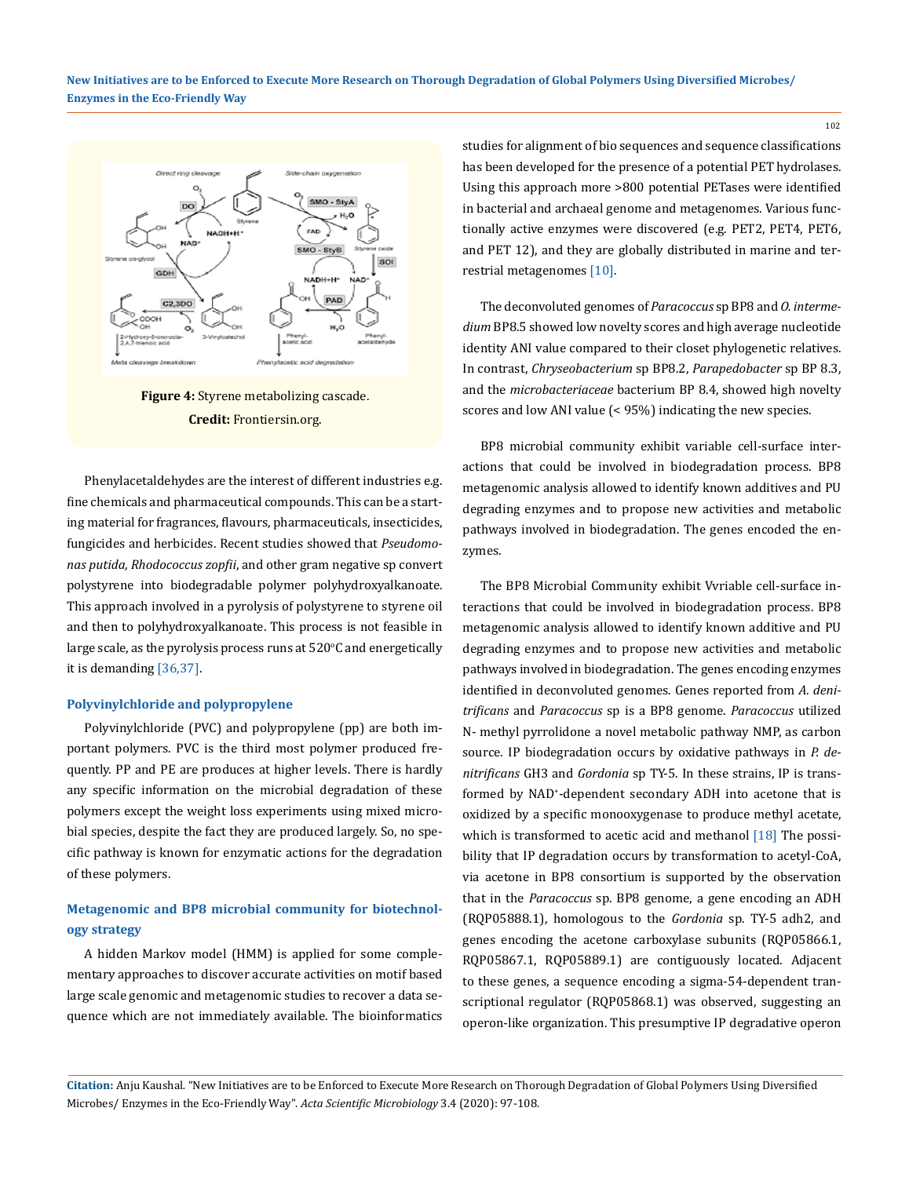**New Initiatives are to be Enforced to Execute More Research on Thorough Degradation of Global Polymers Using Diversified Microbes/ Enzymes in the Eco-Friendly Way**



**Figure 4:** Styrene metabolizing cascade. **Credit:** Frontiersin.org.

Phenylacetaldehydes are the interest of different industries e.g. fine chemicals and pharmaceutical compounds. This can be a starting material for fragrances, flavours, pharmaceuticals, insecticides, fungicides and herbicides. Recent studies showed that *Pseudomonas putida, Rhodococcus zopfii*, and other gram negative sp convert polystyrene into biodegradable polymer polyhydroxyalkanoate. This approach involved in a pyrolysis of polystyrene to styrene oil and then to polyhydroxyalkanoate. This process is not feasible in large scale, as the pyrolysis process runs at  $520^{\circ}$ C and energetically it is demanding [36,37].

#### **Polyvinylchloride and polypropylene**

Polyvinylchloride (PVC) and polypropylene (pp) are both important polymers. PVC is the third most polymer produced frequently. PP and PE are produces at higher levels. There is hardly any specific information on the microbial degradation of these polymers except the weight loss experiments using mixed microbial species, despite the fact they are produced largely. So, no specific pathway is known for enzymatic actions for the degradation of these polymers.

## **Metagenomic and BP8 microbial community for biotechnology strategy**

A hidden Markov model (HMM) is applied for some complementary approaches to discover accurate activities on motif based large scale genomic and metagenomic studies to recover a data sequence which are not immediately available. The bioinformatics studies for alignment of bio sequences and sequence classifications has been developed for the presence of a potential PET hydrolases. Using this approach more >800 potential PETases were identified in bacterial and archaeal genome and metagenomes. Various functionally active enzymes were discovered (e.g. PET2, PET4, PET6, and PET 12), and they are globally distributed in marine and terrestrial metagenomes [10].

The deconvoluted genomes of *Paracoccus* sp BP8 and *O. intermedium* BP8.5 showed low novelty scores and high average nucleotide identity ANI value compared to their closet phylogenetic relatives. In contrast, *Chryseobacterium* sp BP8.2, *Parapedobacter* sp BP 8.3, and the *microbacteriaceae* bacterium BP 8.4, showed high novelty scores and low ANI value (< 95%) indicating the new species.

BP8 microbial community exhibit variable cell-surface interactions that could be involved in biodegradation process. BP8 metagenomic analysis allowed to identify known additives and PU degrading enzymes and to propose new activities and metabolic pathways involved in biodegradation. The genes encoded the enzymes.

The BP8 Microbial Community exhibit Vvriable cell-surface interactions that could be involved in biodegradation process. BP8 metagenomic analysis allowed to identify known additive and PU degrading enzymes and to propose new activities and metabolic pathways involved in biodegradation. The genes encoding enzymes identified in deconvoluted genomes. Genes reported from *A. denitrificans* and *Paracoccus* sp is a BP8 genome. *Paracoccus* utilized N- methyl pyrrolidone a novel metabolic pathway NMP, as carbon source. IP biodegradation occurs by oxidative pathways in *P. denitrificans* GH3 and *Gordonia* sp TY-5. In these strains, IP is transformed by NAD<sup>+</sup> -dependent secondary ADH into acetone that is oxidized by a specific monooxygenase to produce methyl acetate, which is transformed to acetic acid and methanol [18] The possibility that IP degradation occurs by transformation to acetyl-CoA, via acetone in BP8 consortium is supported by the observation that in the *Paracoccus* sp. BP8 genome, a gene encoding an ADH (RQP05888.1), homologous to the *Gordonia* sp. TY-5 adh2, and genes encoding the acetone carboxylase subunits (RQP05866.1, RQP05867.1, RQP05889.1) are contiguously located. Adjacent to these genes, a sequence encoding a sigma-54-dependent transcriptional regulator (RQP05868.1) was observed, suggesting an operon-like organization. This presumptive IP degradative operon

**Citation:** Anju Kaushal*.* "New Initiatives are to be Enforced to Execute More Research on Thorough Degradation of Global Polymers Using Diversified Microbes/ Enzymes in the Eco-Friendly Way". *Acta Scientific Microbiology* 3.4 (2020): 97-108.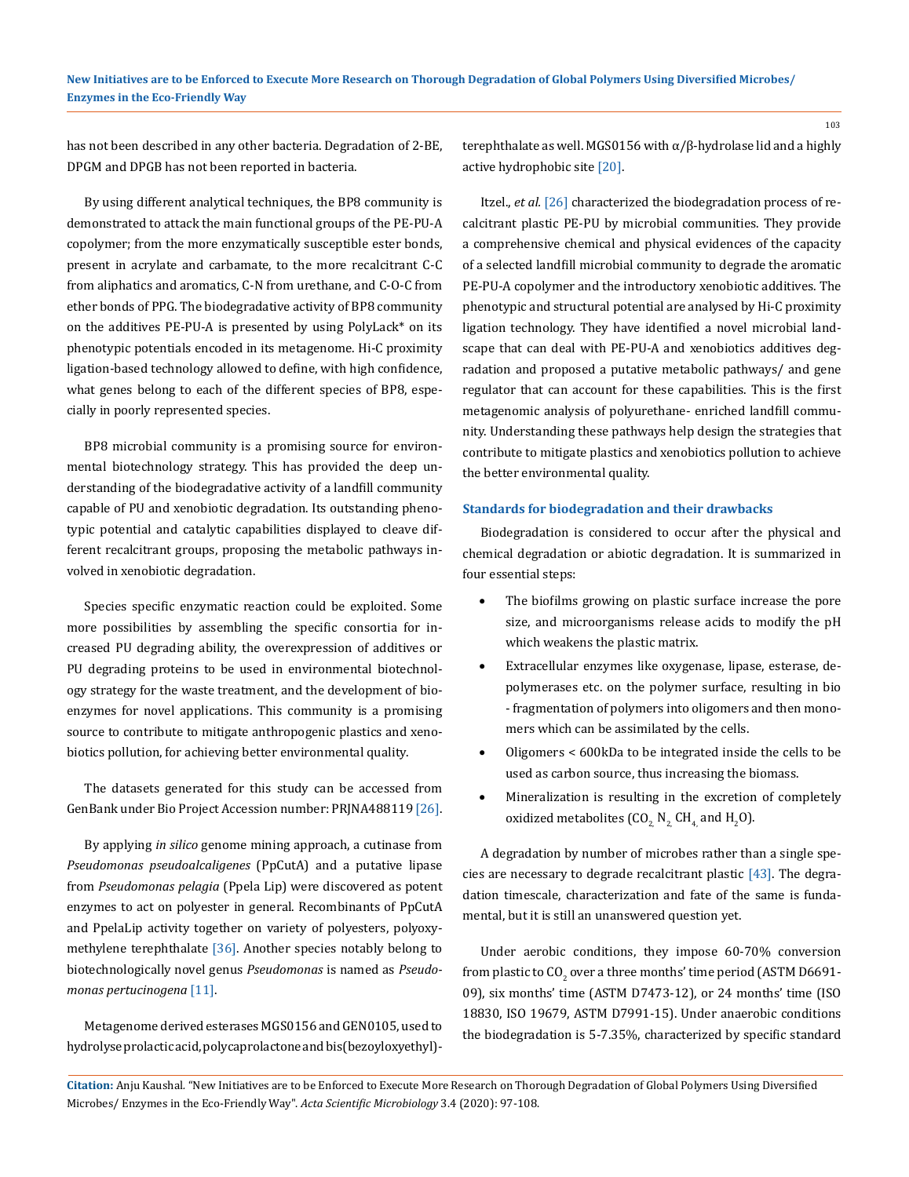has not been described in any other bacteria. Degradation of 2-BE, DPGM and DPGB has not been reported in bacteria.

By using different analytical techniques, the BP8 community is demonstrated to attack the main functional groups of the PE-PU-A copolymer; from the more enzymatically susceptible ester bonds, present in acrylate and carbamate, to the more recalcitrant C-C from aliphatics and aromatics, C-N from urethane, and C-O-C from ether bonds of PPG. The biodegradative activity of BP8 community on the additives PE-PU-A is presented by using PolyLack\* on its phenotypic potentials encoded in its metagenome. Hi-C proximity ligation-based technology allowed to define, with high confidence, what genes belong to each of the different species of BP8, especially in poorly represented species.

BP8 microbial community is a promising source for environmental biotechnology strategy. This has provided the deep understanding of the biodegradative activity of a landfill community capable of PU and xenobiotic degradation. Its outstanding phenotypic potential and catalytic capabilities displayed to cleave different recalcitrant groups, proposing the metabolic pathways involved in xenobiotic degradation.

Species specific enzymatic reaction could be exploited. Some more possibilities by assembling the specific consortia for increased PU degrading ability, the overexpression of additives or PU degrading proteins to be used in environmental biotechnology strategy for the waste treatment, and the development of bioenzymes for novel applications. This community is a promising source to contribute to mitigate anthropogenic plastics and xenobiotics pollution, for achieving better environmental quality.

The datasets generated for this study can be accessed from GenBank under Bio Project Accession number: PRJNA488119 [26].

By applying *in silico* genome mining approach, a cutinase from *Pseudomonas pseudoalcaligenes* (PpCutA) and a putative lipase from *Pseudomonas pelagia* (Ppela Lip) were discovered as potent enzymes to act on polyester in general. Recombinants of PpCutA and PpelaLip activity together on variety of polyesters, polyoxymethylene terephthalate [36]. Another species notably belong to biotechnologically novel genus *Pseudomonas* is named as *Pseudomonas pertucinogena* [11].

Metagenome derived esterases MGS0156 and GEN0105, used to hydrolyse prolactic acid, polycaprolactone and bis(bezoyloxyethyl)-

terephthalate as well. MGS0156 with  $\alpha/\beta$ -hydrolase lid and a highly active hydrophobic site [20].

Itzel., *et al.* [26] characterized the biodegradation process of recalcitrant plastic PE-PU by microbial communities. They provide a comprehensive chemical and physical evidences of the capacity of a selected landfill microbial community to degrade the aromatic PE-PU-A copolymer and the introductory xenobiotic additives. The phenotypic and structural potential are analysed by Hi-C proximity ligation technology. They have identified a novel microbial landscape that can deal with PE-PU-A and xenobiotics additives degradation and proposed a putative metabolic pathways/ and gene regulator that can account for these capabilities. This is the first metagenomic analysis of polyurethane- enriched landfill community. Understanding these pathways help design the strategies that contribute to mitigate plastics and xenobiotics pollution to achieve the better environmental quality.

#### **Standards for biodegradation and their drawbacks**

Biodegradation is considered to occur after the physical and chemical degradation or abiotic degradation. It is summarized in four essential steps:

- The biofilms growing on plastic surface increase the pore size, and microorganisms release acids to modify the pH which weakens the plastic matrix.
- Extracellular enzymes like oxygenase, lipase, esterase, depolymerases etc. on the polymer surface, resulting in bio - fragmentation of polymers into oligomers and then monomers which can be assimilated by the cells.
- • Oligomers < 600kDa to be integrated inside the cells to be used as carbon source, thus increasing the biomass.
- Mineralization is resulting in the excretion of completely oxidized metabolites (CO<sub>2,</sub> N<sub>2,</sub> CH<sub>4,</sub> and H<sub>2</sub>O).

A degradation by number of microbes rather than a single species are necessary to degrade recalcitrant plastic [43]. The degradation timescale, characterization and fate of the same is fundamental, but it is still an unanswered question yet.

Under aerobic conditions, they impose 60-70% conversion from plastic to CO<sub>2</sub> over a three months' time period (ASTM D6691-09), six months' time (ASTM D7473-12), or 24 months' time (ISO 18830, ISO 19679, ASTM D7991-15). Under anaerobic conditions the biodegradation is 5-7.35%, characterized by specific standard

**Citation:** Anju Kaushal*.* "New Initiatives are to be Enforced to Execute More Research on Thorough Degradation of Global Polymers Using Diversified Microbes/ Enzymes in the Eco-Friendly Way". *Acta Scientific Microbiology* 3.4 (2020): 97-108.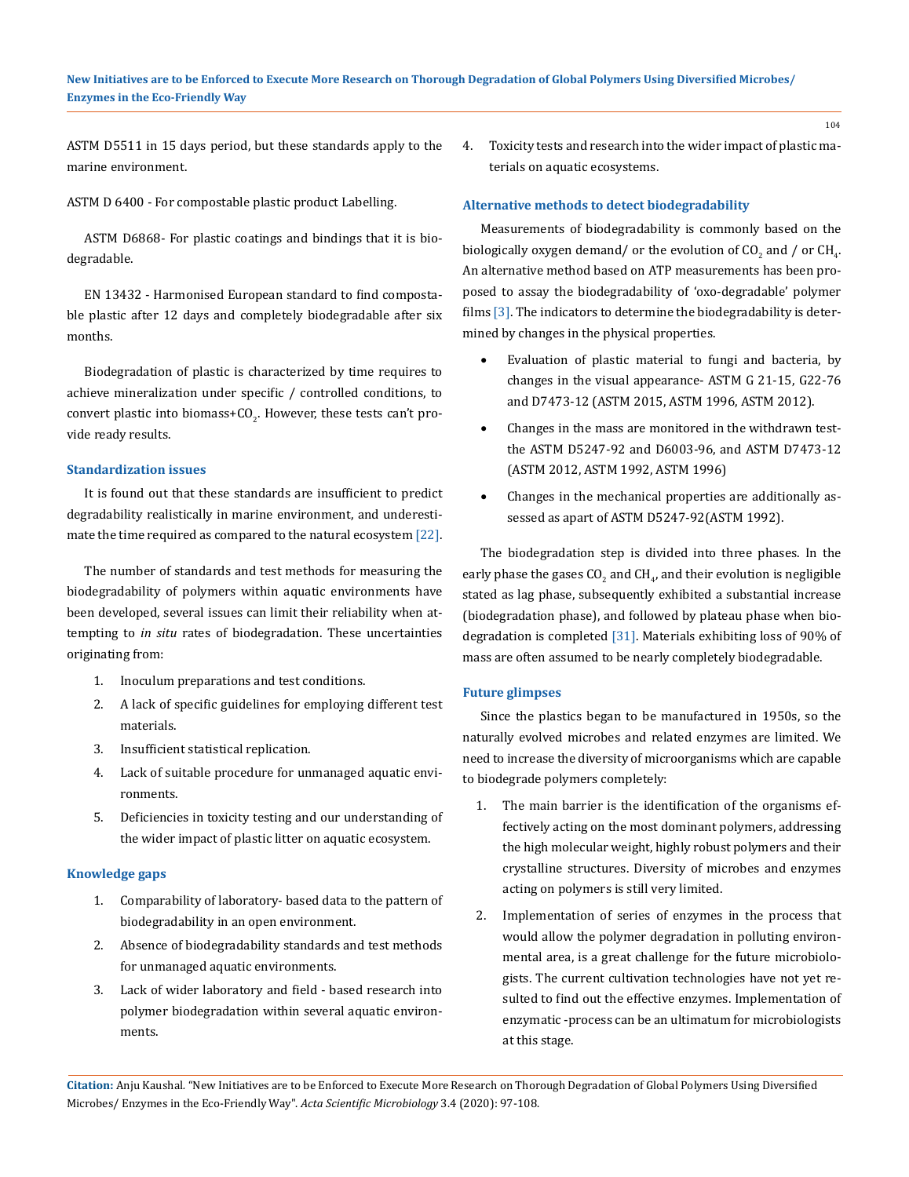ASTM D5511 in 15 days period, but these standards apply to the marine environment.

ASTM D 6400 - For compostable plastic product Labelling.

ASTM D6868- For plastic coatings and bindings that it is biodegradable.

EN 13432 - Harmonised European standard to find compostable plastic after 12 days and completely biodegradable after six months.

Biodegradation of plastic is characterized by time requires to achieve mineralization under specific / controlled conditions, to convert plastic into biomass+CO<sub>2</sub>. However, these tests can't provide ready results.

#### **Standardization issues**

It is found out that these standards are insufficient to predict degradability realistically in marine environment, and underestimate the time required as compared to the natural ecosystem [22].

The number of standards and test methods for measuring the biodegradability of polymers within aquatic environments have been developed, several issues can limit their reliability when attempting to *in situ* rates of biodegradation. These uncertainties originating from:

- 1. Inoculum preparations and test conditions.
- 2. A lack of specific guidelines for employing different test materials.
- 3. Insufficient statistical replication.
- 4. Lack of suitable procedure for unmanaged aquatic environments.
- 5. Deficiencies in toxicity testing and our understanding of the wider impact of plastic litter on aquatic ecosystem.

#### **Knowledge gaps**

- 1. Comparability of laboratory- based data to the pattern of biodegradability in an open environment.
- 2. Absence of biodegradability standards and test methods for unmanaged aquatic environments.
- 3. Lack of wider laboratory and field based research into polymer biodegradation within several aquatic environments.

4. Toxicity tests and research into the wider impact of plastic materials on aquatic ecosystems.

#### **Alternative methods to detect biodegradability**

Measurements of biodegradability is commonly based on the biologically oxygen demand/ or the evolution of  $\text{CO}_\text{2}$  and / or  $\text{CH}_\text{4}$ . An alternative method based on ATP measurements has been proposed to assay the biodegradability of 'oxo-degradable' polymer films [3]. The indicators to determine the biodegradability is determined by changes in the physical properties.

- Evaluation of plastic material to fungi and bacteria, by changes in the visual appearance- ASTM G 21-15, G22-76 and D7473-12 (ASTM 2015, ASTM 1996, ASTM 2012).
- Changes in the mass are monitored in the withdrawn testthe ASTM D5247-92 and D6003-96, and ASTM D7473-12 (ASTM 2012, ASTM 1992, ASTM 1996)
- • Changes in the mechanical properties are additionally assessed as apart of ASTM D5247-92(ASTM 1992).

The biodegradation step is divided into three phases. In the early phase the gases CO<sub>2</sub> and CH<sub>4</sub>, and their evolution is negligible stated as lag phase, subsequently exhibited a substantial increase (biodegradation phase), and followed by plateau phase when biodegradation is completed [31]. Materials exhibiting loss of 90% of mass are often assumed to be nearly completely biodegradable.

#### **Future glimpses**

Since the plastics began to be manufactured in 1950s, so the naturally evolved microbes and related enzymes are limited. We need to increase the diversity of microorganisms which are capable to biodegrade polymers completely:

- 1. The main barrier is the identification of the organisms effectively acting on the most dominant polymers, addressing the high molecular weight, highly robust polymers and their crystalline structures. Diversity of microbes and enzymes acting on polymers is still very limited.
- 2. Implementation of series of enzymes in the process that would allow the polymer degradation in polluting environmental area, is a great challenge for the future microbiologists. The current cultivation technologies have not yet resulted to find out the effective enzymes. Implementation of enzymatic -process can be an ultimatum for microbiologists at this stage.

**Citation:** Anju Kaushal*.* "New Initiatives are to be Enforced to Execute More Research on Thorough Degradation of Global Polymers Using Diversified Microbes/ Enzymes in the Eco-Friendly Way". *Acta Scientific Microbiology* 3.4 (2020): 97-108.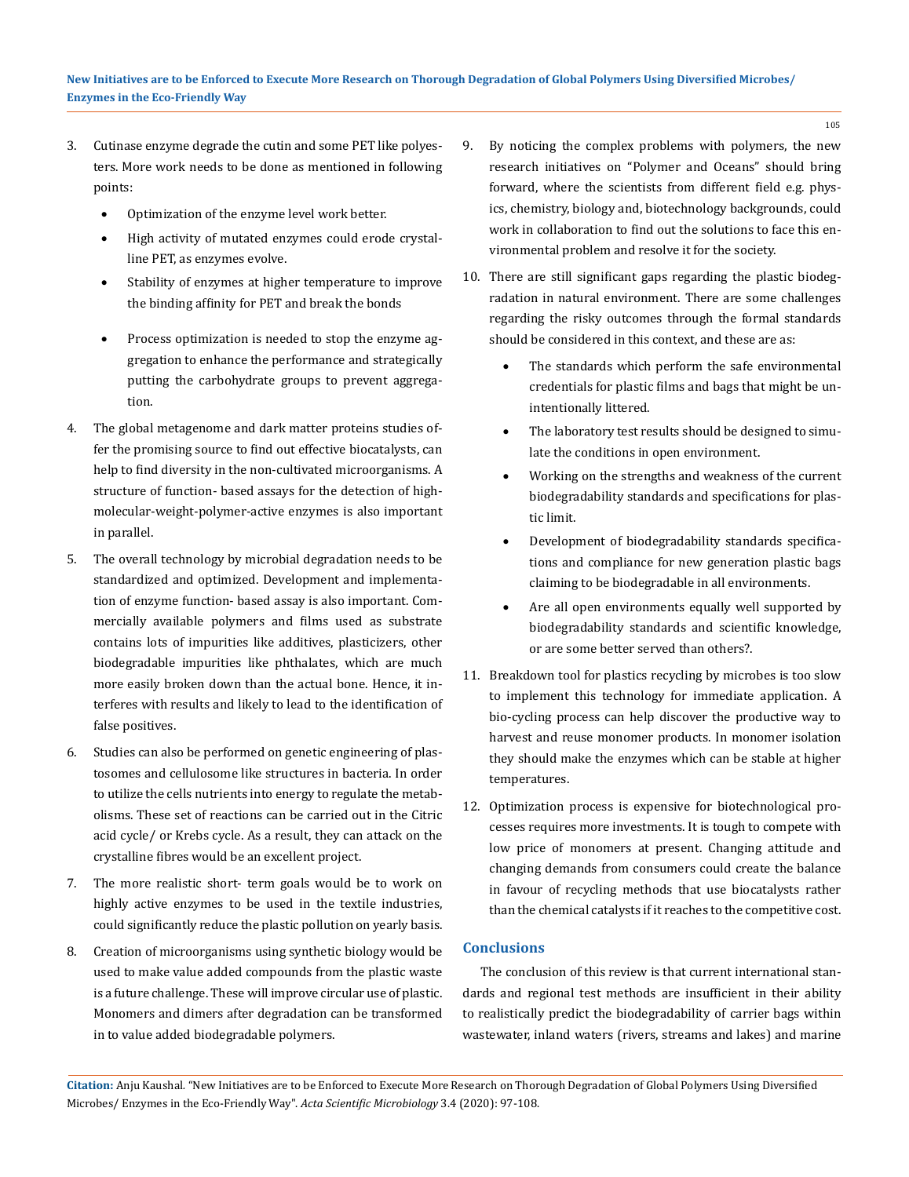- 3. Cutinase enzyme degrade the cutin and some PET like polyesters. More work needs to be done as mentioned in following points:
	- Optimization of the enzyme level work better.
	- High activity of mutated enzymes could erode crystalline PET, as enzymes evolve.
	- Stability of enzymes at higher temperature to improve the binding affinity for PET and break the bonds
	- Process optimization is needed to stop the enzyme aggregation to enhance the performance and strategically putting the carbohydrate groups to prevent aggregation.
- 4. The global metagenome and dark matter proteins studies offer the promising source to find out effective biocatalysts, can help to find diversity in the non-cultivated microorganisms. A structure of function- based assays for the detection of highmolecular-weight-polymer-active enzymes is also important in parallel.
- 5. The overall technology by microbial degradation needs to be standardized and optimized. Development and implementation of enzyme function- based assay is also important. Commercially available polymers and films used as substrate contains lots of impurities like additives, plasticizers, other biodegradable impurities like phthalates, which are much more easily broken down than the actual bone. Hence, it interferes with results and likely to lead to the identification of false positives.
- 6. Studies can also be performed on genetic engineering of plastosomes and cellulosome like structures in bacteria. In order to utilize the cells nutrients into energy to regulate the metabolisms. These set of reactions can be carried out in the Citric acid cycle/ or Krebs cycle. As a result, they can attack on the crystalline fibres would be an excellent project.
- 7. The more realistic short- term goals would be to work on highly active enzymes to be used in the textile industries, could significantly reduce the plastic pollution on yearly basis.
- 8. Creation of microorganisms using synthetic biology would be used to make value added compounds from the plastic waste is a future challenge. These will improve circular use of plastic. Monomers and dimers after degradation can be transformed in to value added biodegradable polymers.
- 9. By noticing the complex problems with polymers, the new research initiatives on "Polymer and Oceans" should bring forward, where the scientists from different field e.g. physics, chemistry, biology and, biotechnology backgrounds, could work in collaboration to find out the solutions to face this environmental problem and resolve it for the society.
- 10. There are still significant gaps regarding the plastic biodegradation in natural environment. There are some challenges regarding the risky outcomes through the formal standards should be considered in this context, and these are as:
	- The standards which perform the safe environmental credentials for plastic films and bags that might be unintentionally littered.
	- The laboratory test results should be designed to simulate the conditions in open environment.
	- Working on the strengths and weakness of the current biodegradability standards and specifications for plastic limit.
	- Development of biodegradability standards specifications and compliance for new generation plastic bags claiming to be biodegradable in all environments.
	- Are all open environments equally well supported by biodegradability standards and scientific knowledge, or are some better served than others?.
- 11. Breakdown tool for plastics recycling by microbes is too slow to implement this technology for immediate application. A bio-cycling process can help discover the productive way to harvest and reuse monomer products. In monomer isolation they should make the enzymes which can be stable at higher temperatures.
- 12. Optimization process is expensive for biotechnological processes requires more investments. It is tough to compete with low price of monomers at present. Changing attitude and changing demands from consumers could create the balance in favour of recycling methods that use biocatalysts rather than the chemical catalysts if it reaches to the competitive cost.

### **Conclusions**

The conclusion of this review is that current international standards and regional test methods are insufficient in their ability to realistically predict the biodegradability of carrier bags within wastewater, inland waters (rivers, streams and lakes) and marine

**Citation:** Anju Kaushal*.* "New Initiatives are to be Enforced to Execute More Research on Thorough Degradation of Global Polymers Using Diversified Microbes/ Enzymes in the Eco-Friendly Way". *Acta Scientific Microbiology* 3.4 (2020): 97-108.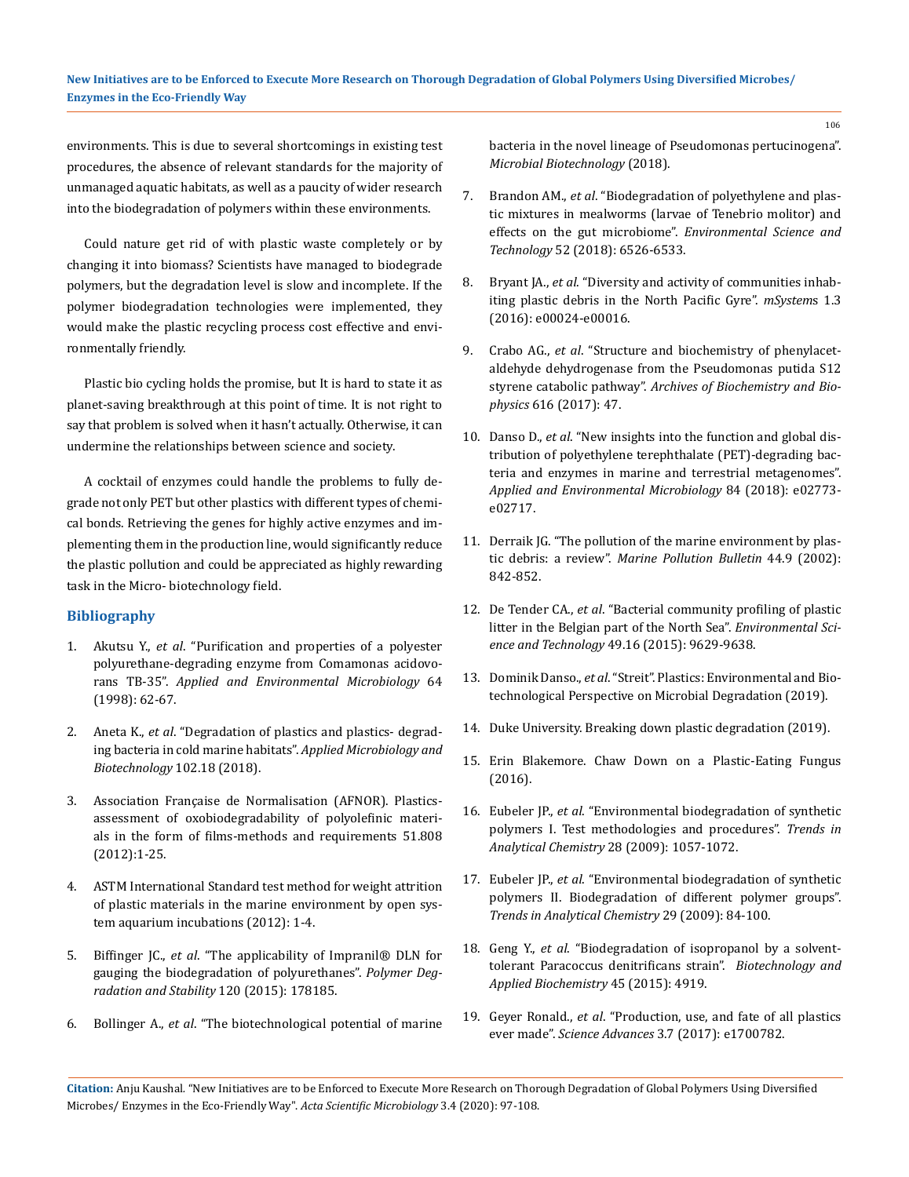environments. This is due to several shortcomings in existing test procedures, the absence of relevant standards for the majority of unmanaged aquatic habitats, as well as a paucity of wider research into the biodegradation of polymers within these environments.

Could nature get rid of with plastic waste completely or by changing it into biomass? Scientists have managed to biodegrade polymers, but the degradation level is slow and incomplete. If the polymer biodegradation technologies were implemented, they would make the plastic recycling process cost effective and environmentally friendly.

Plastic bio cycling holds the promise, but It is hard to state it as planet-saving breakthrough at this point of time. It is not right to say that problem is solved when it hasn't actually. Otherwise, it can undermine the relationships between science and society.

A cocktail of enzymes could handle the problems to fully degrade not only PET but other plastics with different types of chemical bonds. Retrieving the genes for highly active enzymes and implementing them in the production line, would significantly reduce the plastic pollution and could be appreciated as highly rewarding task in the Micro- biotechnology field.

#### **Bibliography**

- 1. Akutsu Y., *et al*[. "Purification and properties of a polyester](https://www.ncbi.nlm.nih.gov/pmc/articles/PMC124672/)  [polyurethane-degrading enzyme from Comamonas acidovo](https://www.ncbi.nlm.nih.gov/pmc/articles/PMC124672/)rans TB-35". *[Applied and Environmental Microbiology](https://www.ncbi.nlm.nih.gov/pmc/articles/PMC124672/)* 64 [\(1998\): 62-67.](https://www.ncbi.nlm.nih.gov/pmc/articles/PMC124672/)
- 2. Aneta K., *et al*[. "Degradation of plastics and plastics- degrad](https://www.ncbi.nlm.nih.gov/pmc/articles/PMC6132502/)[ing bacteria in cold marine habitats".](https://www.ncbi.nlm.nih.gov/pmc/articles/PMC6132502/) *Applied Microbiology and [Biotechnology](https://www.ncbi.nlm.nih.gov/pmc/articles/PMC6132502/)* 102.18 (2018).
- 3. Association Française de Normalisation (AFNOR). Plasticsassessment of oxobiodegradability of polyolefinic materials in the form of films-methods and requirements 51.808 (2012):1-25.
- 4. ASTM International Standard test method for weight attrition of plastic materials in the marine environment by open system aquarium incubations (2012): 1-4.
- 5. Biffinger JC., *et al*[. "The applicability of Impranil® DLN for](https://www.sciencedirect.com/science/article/pii/S0141391015300318)  [gauging the biodegradation of polyurethanes".](https://www.sciencedirect.com/science/article/pii/S0141391015300318) *Polymer Deg[radation and Stability](https://www.sciencedirect.com/science/article/pii/S0141391015300318)* 120 (2015): 178185.
- 6. Bollinger A., *et al*[. "The biotechnological potential of marine](https://www.ncbi.nlm.nih.gov/pubmed/29943398)

[bacteria in the novel lineage of Pseudomonas pertucinogena".](https://www.ncbi.nlm.nih.gov/pubmed/29943398)  *[Microbial Biotechnology](https://www.ncbi.nlm.nih.gov/pubmed/29943398)* (2018).

- 7. Brandon AM., *et al*[. "Biodegradation of polyethylene and plas](https://www.ncbi.nlm.nih.gov/pubmed/29763555)[tic mixtures in mealworms \(larvae of Tenebrio molitor\) and](https://www.ncbi.nlm.nih.gov/pubmed/29763555)  [effects on the gut microbiome".](https://www.ncbi.nlm.nih.gov/pubmed/29763555) *Environmental Science and Technology* [52 \(2018\): 6526-6533.](https://www.ncbi.nlm.nih.gov/pubmed/29763555)
- 8. Bryant JA., *et al*[. "Diversity and activity of communities inhab](https://www.ncbi.nlm.nih.gov/pubmed/27822538)[iting plastic debris in the North Pacific Gyre".](https://www.ncbi.nlm.nih.gov/pubmed/27822538) *mSystem*s 1.3 [\(2016\): e00024-e00016.](https://www.ncbi.nlm.nih.gov/pubmed/27822538)
- 9. Crabo AG., *et al*[. "Structure and biochemistry of phenylacet](https://www.ncbi.nlm.nih.gov/pubmed/28153386)[aldehyde dehydrogenase from the Pseudomonas putida S12](https://www.ncbi.nlm.nih.gov/pubmed/28153386)  styrene catabolic pathway". *[Archives of Biochemistry and Bio](https://www.ncbi.nlm.nih.gov/pubmed/28153386)physics* [616 \(2017\): 47.](https://www.ncbi.nlm.nih.gov/pubmed/28153386)
- 10. Danso D., *et al*[. "New insights into the function and global dis](https://www.ncbi.nlm.nih.gov/pubmed/29427431)[tribution of polyethylene terephthalate \(PET\)-degrading bac](https://www.ncbi.nlm.nih.gov/pubmed/29427431)[teria and enzymes in marine and terrestrial metagenomes".](https://www.ncbi.nlm.nih.gov/pubmed/29427431)  *[Applied and Environmental Microbiology](https://www.ncbi.nlm.nih.gov/pubmed/29427431)* 84 (2018): e02773 [e02717.](https://www.ncbi.nlm.nih.gov/pubmed/29427431)
- 11. [Derraik JG. "The pollution of the marine environment by plas](https://www.sciencedirect.com/science/article/pii/S0025326X02002205)tic debris: a review". *[Marine Pollution Bulletin](https://www.sciencedirect.com/science/article/pii/S0025326X02002205)* 44.9 (2002): [842-852.](https://www.sciencedirect.com/science/article/pii/S0025326X02002205)
- 12. De Tender CA., *et al*[. "Bacterial community profiling of plastic](https://europepmc.org/article/med/26204244)  [litter in the Belgian part of the North Sea".](https://europepmc.org/article/med/26204244) *Environmental Science and Technology* [49.16 \(2015\): 9629-9638.](https://europepmc.org/article/med/26204244)
- 13. Dominik Danso., *et al*. "Streit". Plastics: Environmental and Biotechnological Perspective on Microbial Degradation (2019).
- 14. Duke University. Breaking down plastic degradation (2019).
- 15. Erin Blakemore. Chaw Down on a Plastic-Eating Fungus (2016).
- 16. Eubeler JP., *et al*[. "Environmental biodegradation of synthetic](https://www.sciencedirect.com/science/article/abs/pii/S016599360900137X)  [polymers I. Test methodologies and procedures".](https://www.sciencedirect.com/science/article/abs/pii/S016599360900137X) *Trends in [Analytical Chemistry](https://www.sciencedirect.com/science/article/abs/pii/S016599360900137X)* 28 (2009): 1057-1072.
- 17. Eubeler JP., *et al*[. "Environmental biodegradation of synthetic](https://www.sciencedirect.com/science/article/abs/pii/S0165993609002052)  [polymers II. Biodegradation of different polymer groups".](https://www.sciencedirect.com/science/article/abs/pii/S0165993609002052)  *[Trends in Analytical Chemistry](https://www.sciencedirect.com/science/article/abs/pii/S0165993609002052)* 29 (2009): 84-100.
- 18. Geng Y., *et al*[. "Biodegradation of isopropanol by a solvent](https://www.tandfonline.com/doi/abs/10.1080/10826068.2014.923452)[tolerant Paracoccus denitrificans strain".](https://www.tandfonline.com/doi/abs/10.1080/10826068.2014.923452) *Biotechnology and [Applied Biochemistry](https://www.tandfonline.com/doi/abs/10.1080/10826068.2014.923452)* 45 (2015): 4919.
- 19. Geyer Ronald., *et al*[. "Production, use, and fate of all plastics](https://advances.sciencemag.org/content/3/7/e1700782)  ever made". *Science Advances* [3.7 \(2017\): e1700782.](https://advances.sciencemag.org/content/3/7/e1700782)

**Citation:** Anju Kaushal*.* "New Initiatives are to be Enforced to Execute More Research on Thorough Degradation of Global Polymers Using Diversified Microbes/ Enzymes in the Eco-Friendly Way". *Acta Scientific Microbiology* 3.4 (2020): 97-108.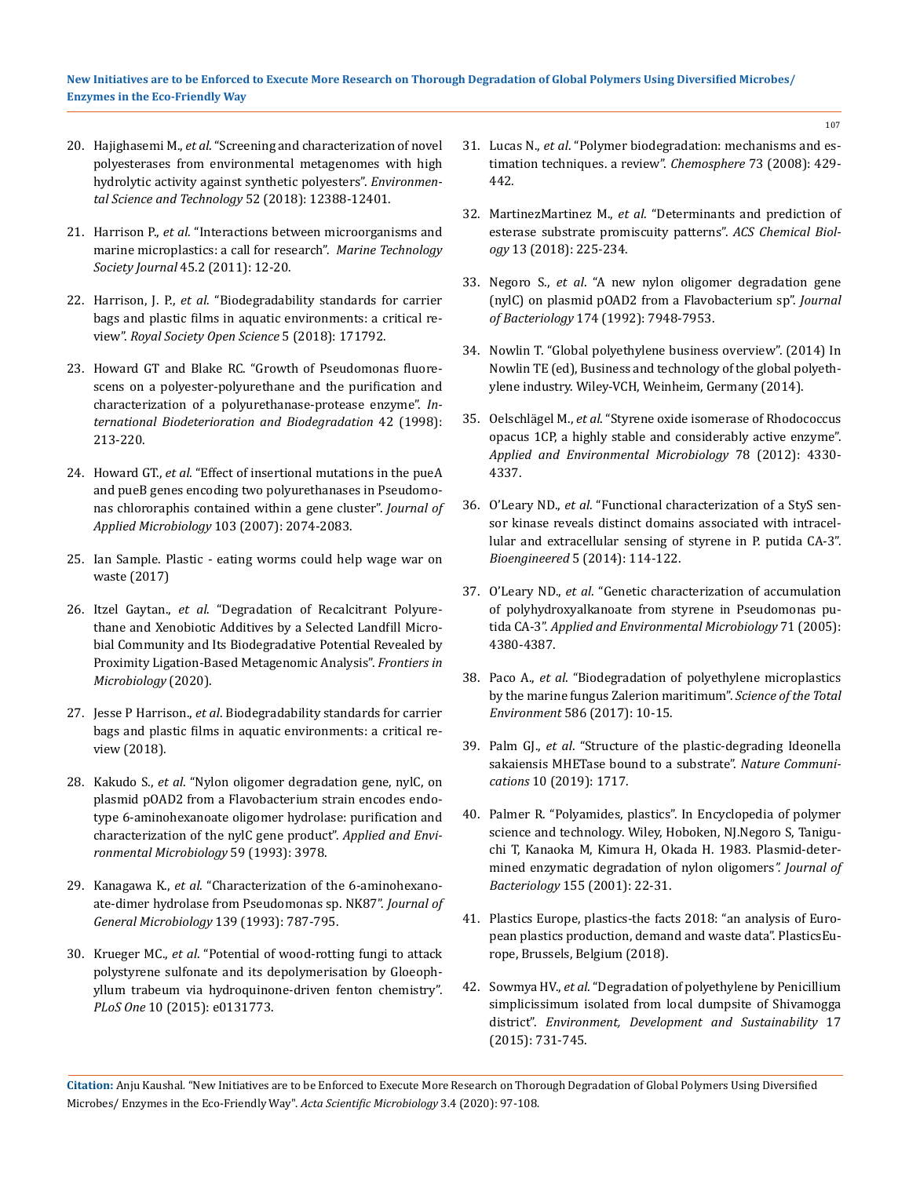#### **New Initiatives are to be Enforced to Execute More Research on Thorough Degradation of Global Polymers Using Diversified Microbes/ Enzymes in the Eco-Friendly Way**

- 20. Hajighasemi M., *et al*[. "Screening and characterization of novel](https://www.ncbi.nlm.nih.gov/pubmed/30284819)  [polyesterases from environmental metagenomes with high](https://www.ncbi.nlm.nih.gov/pubmed/30284819)  [hydrolytic activity against synthetic polyesters".](https://www.ncbi.nlm.nih.gov/pubmed/30284819) *Environmen[tal Science and Technology](https://www.ncbi.nlm.nih.gov/pubmed/30284819)* 52 (2018): 12388-12401.
- 21. Harrison P., *et al*[. "Interactions between microorganisms and](https://www.researchgate.net/publication/230759508_Interactions_Between_Microorganisms_and_Marine_Microplastics_A_Call_for_Research)  [marine microplastics: a call for research".](https://www.researchgate.net/publication/230759508_Interactions_Between_Microorganisms_and_Marine_Microplastics_A_Call_for_Research) *Marine Technology Society Journal* [45.2 \(2011\): 12-20.](https://www.researchgate.net/publication/230759508_Interactions_Between_Microorganisms_and_Marine_Microplastics_A_Call_for_Research)
- 22. Harrison, J. P., *et al*[. "Biodegradability standards for carrier](https://royalsocietypublishing.org/doi/full/10.1098/rsos.171792)  [bags and plastic films in aquatic environments: a critical re](https://royalsocietypublishing.org/doi/full/10.1098/rsos.171792)view". *[Royal Society Open Science](https://royalsocietypublishing.org/doi/full/10.1098/rsos.171792)* 5 (2018): 171792.
- 23. [Howard GT and Blake RC. "Growth of Pseudomonas fluore](https://www.sciencedirect.com/science/article/pii/S0964830598000511)[scens on a polyester-polyurethane and the purification and](https://www.sciencedirect.com/science/article/pii/S0964830598000511)  [characterization of a polyurethanase-protease enzyme".](https://www.sciencedirect.com/science/article/pii/S0964830598000511) *In[ternational Biodeterioration and Biodegradation](https://www.sciencedirect.com/science/article/pii/S0964830598000511)* 42 (1998): [213-220.](https://www.sciencedirect.com/science/article/pii/S0964830598000511)
- 24. Howard GT., *et al*[. "Effect of insertional mutations in the pueA](https://www.researchgate.net/publication/5803290_Effect_of_insertional_mutations_in_the_pueA_and_pueB_genes_encoding_two_polyurethanases_in_Pseudomonas_chlororaphis_contained_within_a_gene_cluster)  [and pueB genes encoding two polyurethanases in Pseudomo](https://www.researchgate.net/publication/5803290_Effect_of_insertional_mutations_in_the_pueA_and_pueB_genes_encoding_two_polyurethanases_in_Pseudomonas_chlororaphis_contained_within_a_gene_cluster)[nas chlororaphis contained within a gene cluster".](https://www.researchgate.net/publication/5803290_Effect_of_insertional_mutations_in_the_pueA_and_pueB_genes_encoding_two_polyurethanases_in_Pseudomonas_chlororaphis_contained_within_a_gene_cluster) *Journal of [Applied Microbiology](https://www.researchgate.net/publication/5803290_Effect_of_insertional_mutations_in_the_pueA_and_pueB_genes_encoding_two_polyurethanases_in_Pseudomonas_chlororaphis_contained_within_a_gene_cluster)* 103 (2007): 2074-2083.
- 25. Ian Sample. Plastic eating worms could help wage war on waste (2017)
- 26. Itzel Gaytan., *et al*[. "Degradation of Recalcitrant Polyure](https://www.frontiersin.org/articles/10.3389/fmicb.2019.02986/full)[thane and Xenobiotic Additives by a Selected Landfill Micro](https://www.frontiersin.org/articles/10.3389/fmicb.2019.02986/full)[bial Community and Its Biodegradative Potential Revealed by](https://www.frontiersin.org/articles/10.3389/fmicb.2019.02986/full)  [Proximity Ligation-Based Metagenomic Analysis".](https://www.frontiersin.org/articles/10.3389/fmicb.2019.02986/full) *Frontiers in [Microbiology](https://www.frontiersin.org/articles/10.3389/fmicb.2019.02986/full)* (2020).
- 27. Jesse P Harrison., *et al*. Biodegradability standards for carrier bags and plastic films in aquatic environments: a critical review (2018).
- 28. Kakudo S., *et al*[. "Nylon oligomer degradation gene, nylC, on](https://www.ncbi.nlm.nih.gov/pubmed/8285701)  [plasmid pOAD2 from a Flavobacterium strain encodes endo](https://www.ncbi.nlm.nih.gov/pubmed/8285701)[type 6-aminohexanoate oligomer hydrolase: purification and](https://www.ncbi.nlm.nih.gov/pubmed/8285701)  [characterization of the nylC gene product".](https://www.ncbi.nlm.nih.gov/pubmed/8285701) *Applied and Envi[ronmental Microbiology](https://www.ncbi.nlm.nih.gov/pubmed/8285701)* 59 (1993): 3978.
- 29. Kanagawa K., *et al*[. "Characterization of the 6-aminohexano](https://www.ncbi.nlm.nih.gov/pubmed/8515236)[ate-dimer hydrolase from Pseudomonas sp. NK87".](https://www.ncbi.nlm.nih.gov/pubmed/8515236) *Journal of [General Microbiology](https://www.ncbi.nlm.nih.gov/pubmed/8515236)* 139 (1993): 787-795.
- 30. Krueger MC., *et al*[. "Potential of wood-rotting fungi to attack](https://www.researchgate.net/publication/280029847_Potential_of_Wood-Rotting_Fungi_to_Attack_Polystyrene_Sulfonate_and_Its_Depolymerisation_by_Gloeophyllum_trabeum_via_Hydroquinone-Driven_Fenton_Chemistry)  [polystyrene sulfonate and its depolymerisation by Gloeoph](https://www.researchgate.net/publication/280029847_Potential_of_Wood-Rotting_Fungi_to_Attack_Polystyrene_Sulfonate_and_Its_Depolymerisation_by_Gloeophyllum_trabeum_via_Hydroquinone-Driven_Fenton_Chemistry)[yllum trabeum via hydroquinone-driven fenton chemistry".](https://www.researchgate.net/publication/280029847_Potential_of_Wood-Rotting_Fungi_to_Attack_Polystyrene_Sulfonate_and_Its_Depolymerisation_by_Gloeophyllum_trabeum_via_Hydroquinone-Driven_Fenton_Chemistry)  *PLoS One* [10 \(2015\): e0131773.](https://www.researchgate.net/publication/280029847_Potential_of_Wood-Rotting_Fungi_to_Attack_Polystyrene_Sulfonate_and_Its_Depolymerisation_by_Gloeophyllum_trabeum_via_Hydroquinone-Driven_Fenton_Chemistry)
- 31. Lucas N., *et al*[. "Polymer biodegradation: mechanisms and es](https://www.sciencedirect.com/science/article/pii/S0045653508008333)[timation techniques. a review".](https://www.sciencedirect.com/science/article/pii/S0045653508008333) *Chemosphere* 73 (2008): 429- [442.](https://www.sciencedirect.com/science/article/pii/S0045653508008333)
- 32. MartinezMartinez M., *et al*[. "Determinants and prediction of](https://www.ncbi.nlm.nih.gov/pubmed/29182315)  [esterase substrate promiscuity patterns".](https://www.ncbi.nlm.nih.gov/pubmed/29182315) *ACS Chemical Biology* [13 \(2018\): 225-234.](https://www.ncbi.nlm.nih.gov/pubmed/29182315)
- 33. Negoro S., *et al*[. "A new nylon oligomer degradation gene](https://aem.asm.org/content/59/11/3978)  [\(nylC\) on plasmid pOAD2 from a Flavobacterium sp".](https://aem.asm.org/content/59/11/3978) *Journal of Bacteriology* [174 \(1992\): 7948-7953.](https://aem.asm.org/content/59/11/3978)
- 34. Nowlin T. "Global polyethylene business overview". (2014) In Nowlin TE (ed), Business and technology of the global polyethylene industry. Wiley-VCH, Weinheim, Germany (2014).
- 35. Oelschlägel M., *et al*[. "Styrene oxide isomerase of Rhodococcus](https://aem.asm.org/content/78/12/4330)  [opacus 1CP, a highly stable and considerably active enzyme".](https://aem.asm.org/content/78/12/4330)  *[Applied and Environmental Microbiology](https://aem.asm.org/content/78/12/4330)* 78 (2012): 4330- [4337.](https://aem.asm.org/content/78/12/4330)
- 36. O'Leary ND., *et al*[. "Functional characterization of a StyS sen](https://www.ncbi.nlm.nih.gov/pubmed/24637704)[sor kinase reveals distinct domains associated with intracel](https://www.ncbi.nlm.nih.gov/pubmed/24637704)[lular and extracellular sensing of styrene in P. putida CA-3".](https://www.ncbi.nlm.nih.gov/pubmed/24637704)  *Bioengineered* [5 \(2014\): 114-122.](https://www.ncbi.nlm.nih.gov/pubmed/24637704)
- 37. O'Leary ND., *et al*[. "Genetic characterization of accumulation](https://www.researchgate.net/publication/7674058_Genetic_Characterization_of_Accumulation_of_Polyhydroxyalkanoate_from_Styrene_in_Pseudomonas_putida_CA-3)  [of polyhydroxyalkanoate from styrene in Pseudomonas pu](https://www.researchgate.net/publication/7674058_Genetic_Characterization_of_Accumulation_of_Polyhydroxyalkanoate_from_Styrene_in_Pseudomonas_putida_CA-3)tida CA-3". *[Applied and Environmental Microbiology](https://www.researchgate.net/publication/7674058_Genetic_Characterization_of_Accumulation_of_Polyhydroxyalkanoate_from_Styrene_in_Pseudomonas_putida_CA-3)* 71 (2005): [4380-4387.](https://www.researchgate.net/publication/7674058_Genetic_Characterization_of_Accumulation_of_Polyhydroxyalkanoate_from_Styrene_in_Pseudomonas_putida_CA-3)
- 38. Paco A., *et al*[. "Biodegradation of polyethylene microplastics](https://www.ncbi.nlm.nih.gov/pubmed/28199874)  [by the marine fungus Zalerion maritimum".](https://www.ncbi.nlm.nih.gov/pubmed/28199874) *Science of the Total Environment* [586 \(2017\): 10-15.](https://www.ncbi.nlm.nih.gov/pubmed/28199874)
- 39. Palm GJ., *et al*[. "Structure of the plastic-degrading Ideonella](https://www.nature.com/articles/s41467-019-09326-3)  [sakaiensis MHETase bound to a substrate".](https://www.nature.com/articles/s41467-019-09326-3) *Nature Communications* [10 \(2019\): 1717.](https://www.nature.com/articles/s41467-019-09326-3)
- 40. Palmer R. "Polyamides, plastics". In Encyclopedia of polymer science and technology. Wiley, Hoboken, NJ.Negoro S, Taniguchi T, Kanaoka M, Kimura H, Okada H. 1983. Plasmid-determined enzymatic degradation of nylon oligomers*". Journal of Bacteriology* 155 (2001): 22-31.
- 41. Plastics Europe, plastics-the facts 2018: "an analysis of European plastics production, demand and waste data". PlasticsEurope, Brussels, Belgium (2018).
- 42. Sowmya HV., *et al*[. "Degradation of polyethylene by Penicillium](https://www.researchgate.net/publication/282479605_Degradation_of_polyethylene_by_Penicillium_simplicissimum_isolated_from_local_dumpsite_of_Shivamogga_district)  [simplicissimum isolated from local dumpsite of Shivamogga](https://www.researchgate.net/publication/282479605_Degradation_of_polyethylene_by_Penicillium_simplicissimum_isolated_from_local_dumpsite_of_Shivamogga_district)  district". *[Environment, Development and Sustainability](https://www.researchgate.net/publication/282479605_Degradation_of_polyethylene_by_Penicillium_simplicissimum_isolated_from_local_dumpsite_of_Shivamogga_district)* 17 [\(2015\): 731-745.](https://www.researchgate.net/publication/282479605_Degradation_of_polyethylene_by_Penicillium_simplicissimum_isolated_from_local_dumpsite_of_Shivamogga_district)